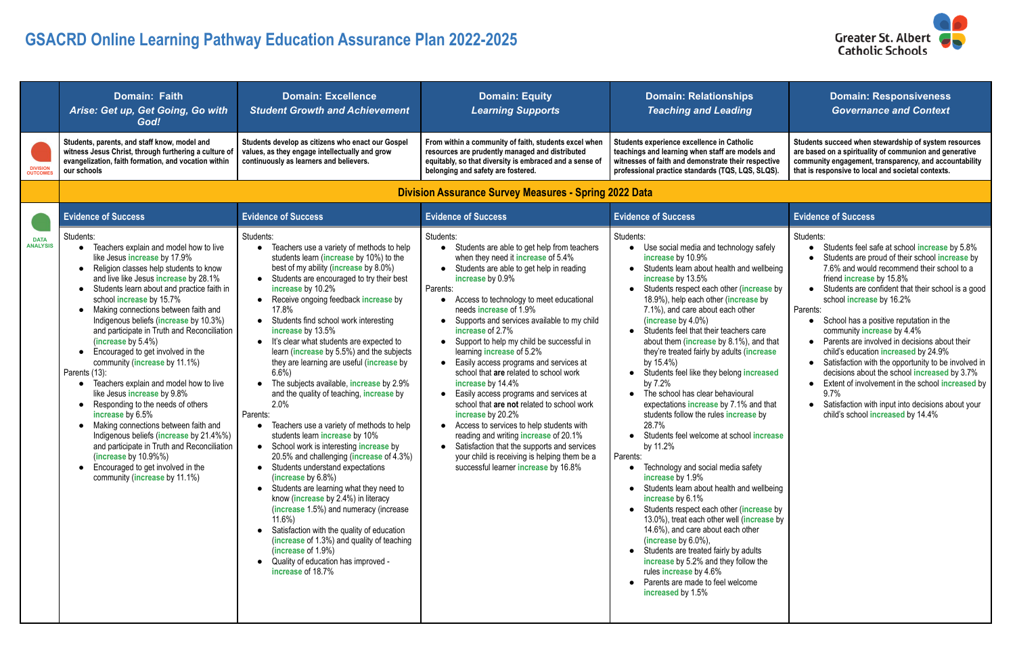## **GSACRD Online Learning Pathway Education Assurance Plan 2022-2025**

|                                | <b>Domain: Faith</b><br>Arise: Get up, Get Going, Go with<br>God!                                                                                                                                                                                                                                                                                                                                                                                                                                                                                                                                                                                                                                                                                                                                                                                                                                                                         | <b>Domain: Excellence</b><br><b>Student Growth and Achievement</b>                                                                                                                                                                                                                                                                                                                                                                                                                                                                                                                                                                                                                                                                                                                                                                                                                                                                                                                                                                                                                                                                                                                 | <b>Domain: Equity</b><br><b>Learning Supports</b>                                                                                                                                                                                                                                                                                                                                                                                                                                                                                                                                                                                                                                                                                                                                                                                                                                                            | <b>Domain: Relationships</b><br><b>Teaching and Leading</b>                                                                                                                                                                                                                                                                                                                                                                                                                                                                                                                                                                                                                                                                                                                                                                                                                                                                                                                                                                                                                                                                                                                      | <b>Domain: Responsiveness</b><br><b>Governance and Context</b>                                                                                                                                                                                                                                                                                                                                                                                                                                                                                                                                                                                                                                                               |
|--------------------------------|-------------------------------------------------------------------------------------------------------------------------------------------------------------------------------------------------------------------------------------------------------------------------------------------------------------------------------------------------------------------------------------------------------------------------------------------------------------------------------------------------------------------------------------------------------------------------------------------------------------------------------------------------------------------------------------------------------------------------------------------------------------------------------------------------------------------------------------------------------------------------------------------------------------------------------------------|------------------------------------------------------------------------------------------------------------------------------------------------------------------------------------------------------------------------------------------------------------------------------------------------------------------------------------------------------------------------------------------------------------------------------------------------------------------------------------------------------------------------------------------------------------------------------------------------------------------------------------------------------------------------------------------------------------------------------------------------------------------------------------------------------------------------------------------------------------------------------------------------------------------------------------------------------------------------------------------------------------------------------------------------------------------------------------------------------------------------------------------------------------------------------------|--------------------------------------------------------------------------------------------------------------------------------------------------------------------------------------------------------------------------------------------------------------------------------------------------------------------------------------------------------------------------------------------------------------------------------------------------------------------------------------------------------------------------------------------------------------------------------------------------------------------------------------------------------------------------------------------------------------------------------------------------------------------------------------------------------------------------------------------------------------------------------------------------------------|----------------------------------------------------------------------------------------------------------------------------------------------------------------------------------------------------------------------------------------------------------------------------------------------------------------------------------------------------------------------------------------------------------------------------------------------------------------------------------------------------------------------------------------------------------------------------------------------------------------------------------------------------------------------------------------------------------------------------------------------------------------------------------------------------------------------------------------------------------------------------------------------------------------------------------------------------------------------------------------------------------------------------------------------------------------------------------------------------------------------------------------------------------------------------------|------------------------------------------------------------------------------------------------------------------------------------------------------------------------------------------------------------------------------------------------------------------------------------------------------------------------------------------------------------------------------------------------------------------------------------------------------------------------------------------------------------------------------------------------------------------------------------------------------------------------------------------------------------------------------------------------------------------------------|
| <b>OUTCOME</b>                 | Students, parents, and staff know, model and<br>witness Jesus Christ, through furthering a culture of<br>evangelization, faith formation, and vocation within<br>our schools                                                                                                                                                                                                                                                                                                                                                                                                                                                                                                                                                                                                                                                                                                                                                              | Students develop as citizens who enact our Gospel<br>values, as they engage intellectually and grow<br>continuously as learners and believers.                                                                                                                                                                                                                                                                                                                                                                                                                                                                                                                                                                                                                                                                                                                                                                                                                                                                                                                                                                                                                                     | From within a community of faith, students excel when<br>resources are prudently managed and distributed<br>equitably, so that diversity is embraced and a sense of<br>belonging and safety are fostered.                                                                                                                                                                                                                                                                                                                                                                                                                                                                                                                                                                                                                                                                                                    | Students experience excellence in Catholic<br>teachings and learning when staff are models and<br>witnesses of faith and demonstrate their respective<br>professional practice standards (TQS, LQS, SLQS).                                                                                                                                                                                                                                                                                                                                                                                                                                                                                                                                                                                                                                                                                                                                                                                                                                                                                                                                                                       | Students succeed when stewardship of system resources<br>are based on a spirituality of communion and generative<br>community engagement, transparency, and accountability<br>that is responsive to local and societal contexts.                                                                                                                                                                                                                                                                                                                                                                                                                                                                                             |
|                                |                                                                                                                                                                                                                                                                                                                                                                                                                                                                                                                                                                                                                                                                                                                                                                                                                                                                                                                                           |                                                                                                                                                                                                                                                                                                                                                                                                                                                                                                                                                                                                                                                                                                                                                                                                                                                                                                                                                                                                                                                                                                                                                                                    | <b>Division Assurance Survey Measures - Spring 2022 Data</b>                                                                                                                                                                                                                                                                                                                                                                                                                                                                                                                                                                                                                                                                                                                                                                                                                                                 |                                                                                                                                                                                                                                                                                                                                                                                                                                                                                                                                                                                                                                                                                                                                                                                                                                                                                                                                                                                                                                                                                                                                                                                  |                                                                                                                                                                                                                                                                                                                                                                                                                                                                                                                                                                                                                                                                                                                              |
|                                | <b>Evidence of Success</b>                                                                                                                                                                                                                                                                                                                                                                                                                                                                                                                                                                                                                                                                                                                                                                                                                                                                                                                | <b>Evidence of Success</b>                                                                                                                                                                                                                                                                                                                                                                                                                                                                                                                                                                                                                                                                                                                                                                                                                                                                                                                                                                                                                                                                                                                                                         | <b>Evidence of Success</b>                                                                                                                                                                                                                                                                                                                                                                                                                                                                                                                                                                                                                                                                                                                                                                                                                                                                                   | <b>Evidence of Success</b>                                                                                                                                                                                                                                                                                                                                                                                                                                                                                                                                                                                                                                                                                                                                                                                                                                                                                                                                                                                                                                                                                                                                                       | <b>Evidence of Success</b>                                                                                                                                                                                                                                                                                                                                                                                                                                                                                                                                                                                                                                                                                                   |
| <b>DATA</b><br><b>ANALYSIS</b> | Students:<br>Teachers explain and model how to live<br>like Jesus increase by 17.9%<br>Religion classes help students to know<br>$\bullet$<br>and live like Jesus increase by 28.1%<br>• Students learn about and practice faith in<br>school increase by 15.7%<br>Making connections between faith and<br>$\bullet$<br>Indigenous beliefs (increase by 10.3%)<br>and participate in Truth and Reconciliation<br>(increase by $5.4\%$ )<br>Encouraged to get involved in the<br>$\bullet$<br>community (increase by 11.1%)<br>Parents (13):<br>Teachers explain and model how to live<br>$\bullet$<br>like Jesus increase by 9.8%<br>Responding to the needs of others<br>$\bullet$<br>increase by 6.5%<br>Making connections between faith and<br>Indigenous beliefs (increase by 21.4%%)<br>and participate in Truth and Reconciliation<br>(increase by 10.9%%)<br>• Encouraged to get involved in the<br>community (increase by 11.1%) | Students:<br>Teachers use a variety of methods to help<br>students learn (increase by 10%) to the<br>best of my ability (increase by 8.0%)<br>Students are encouraged to try their best<br>increase by 10.2%<br>Receive ongoing feedback increase by<br>17.8%<br>Students find school work interesting<br>increase by 13.5%<br>It's clear what students are expected to<br>learn (increase by 5.5%) and the subjects<br>they are learning are useful (increase by<br>$6.6\%$<br>The subjects available, <b>increase</b> by 2.9%<br>and the quality of teaching, increase by<br>2.0%<br>Parents:<br>Teachers use a variety of methods to help<br>students learn increase by 10%<br>School work is interesting increase by<br>$\bullet$<br>20.5% and challenging (increase of 4.3%)<br>Students understand expectations<br>(increase by 6.8%)<br>Students are learning what they need to<br>know (increase by 2.4%) in literacy<br>(increase 1.5%) and numeracy (increase<br>$11.6\%$<br>Satisfaction with the quality of education<br>$\bullet$<br>(increase of 1.3%) and quality of teaching<br>(increase of $1.9\%$ )<br>Quality of education has improved -<br>increase of 18.7% | Students:<br>Students are able to get help from teachers<br>when they need it increase of 5.4%<br>Students are able to get help in reading<br>increase by 0.9%<br>Parents:<br>Access to technology to meet educational<br>needs increase of 1.9%<br>Supports and services available to my child<br>increase of 2.7%<br>Support to help my child be successful in<br>$\bullet$<br>learning <b>increase</b> of 5.2%<br>Easily access programs and services at<br>$\bullet$<br>school that are related to school work<br>increase by 14.4%<br>Easily access programs and services at<br>$\bullet$<br>school that are not related to school work<br>increase by 20.2%<br>Access to services to help students with<br>$\bullet$<br>reading and writing increase of 20.1%<br>• Satisfaction that the supports and services<br>your child is receiving is helping them be a<br>successful learner increase by 16.8% | Students:<br>Use social media and technology safely<br>increase by 10.9%<br>Students learn about health and wellbeing<br>increase by 13.5%<br>Students respect each other (increase by<br>18.9%), help each other (increase by<br>7.1%), and care about each other<br>(increase by $4.0\%$ )<br>• Students feel that their teachers care<br>about them (increase by 8.1%), and that<br>they're treated fairly by adults (increase<br>by $15.4\%$ )<br>Students feel like they belong increased<br>by 7.2%<br>The school has clear behavioural<br>expectations increase by 7.1% and that<br>students follow the rules increase by<br>28.7%<br>Students feel welcome at school increase<br>by 11.2%<br>Parents:<br>• Technology and social media safety<br>increase by 1.9%<br>• Students learn about health and wellbeing<br>increase by 6.1%<br>• Students respect each other (increase by<br>13.0%), treat each other well (increase by<br>14.6%), and care about each other<br>(increase by $6.0\%$ ),<br>• Students are treated fairly by adults<br>increase by 5.2% and they follow the<br>rules increase by 4.6%<br>• Parents are made to feel welcome<br>increased by 1.5% | Students:<br>Students feel safe at school increase by 5.8%<br>Students are proud of their school increase by<br>7.6% and would recommend their school to a<br>friend <b>increase</b> by 15.8%<br>• Students are confident that their school is a good<br>school increase by 16.2%<br>Parents:<br>School has a positive reputation in the<br>community increase by 4.4%<br>Parents are involved in decisions about their<br>child's education increased by 24.9%<br>Satisfaction with the opportunity to be involved in<br>decisions about the school increased by 3.7%<br>Extent of involvement in the school increased by<br>9.7%<br>Satisfaction with input into decisions about your<br>child's school increased by 14.4% |



|                                                                                                                                                            | <b>Evidence of Success</b>                                                                                                                                                                                                                                                                                                                                                                                                                                                                                                                                                                                                                                                                                          |
|------------------------------------------------------------------------------------------------------------------------------------------------------------|---------------------------------------------------------------------------------------------------------------------------------------------------------------------------------------------------------------------------------------------------------------------------------------------------------------------------------------------------------------------------------------------------------------------------------------------------------------------------------------------------------------------------------------------------------------------------------------------------------------------------------------------------------------------------------------------------------------------|
| gy safely<br>d wellbeing<br>ncrease by<br>ase by<br>her<br>s care<br>), and that<br><b>increase</b><br>ncreased<br>ral<br>$\frac{1}{2}$ and that<br>ase by | Students:<br>Students feel safe at school increase by 5.8%<br>Students are proud of their school increase by<br>7.6% and would recommend their school to a<br>friend increase by 15.8%<br>Students are confident that their school is a good<br>school increase by 16.2%<br>Parents:<br>School has a positive reputation in the<br>community increase by 4.4%<br>Parents are involved in decisions about their<br>child's education increased by 24.9%<br>Satisfaction with the opportunity to be involved in<br>decisions about the school increased by 3.7%<br>Extent of involvement in the school increased by<br>9.7%<br>Satisfaction with input into decisions about your<br>child's school increased by 14.4% |
| ol increase                                                                                                                                                |                                                                                                                                                                                                                                                                                                                                                                                                                                                                                                                                                                                                                                                                                                                     |
| afety                                                                                                                                                      |                                                                                                                                                                                                                                                                                                                                                                                                                                                                                                                                                                                                                                                                                                                     |
| d wellbeing                                                                                                                                                |                                                                                                                                                                                                                                                                                                                                                                                                                                                                                                                                                                                                                                                                                                                     |
| ncrease by<br>ncrease by<br>ther                                                                                                                           |                                                                                                                                                                                                                                                                                                                                                                                                                                                                                                                                                                                                                                                                                                                     |
| dults<br>ow the                                                                                                                                            |                                                                                                                                                                                                                                                                                                                                                                                                                                                                                                                                                                                                                                                                                                                     |
| mе                                                                                                                                                         |                                                                                                                                                                                                                                                                                                                                                                                                                                                                                                                                                                                                                                                                                                                     |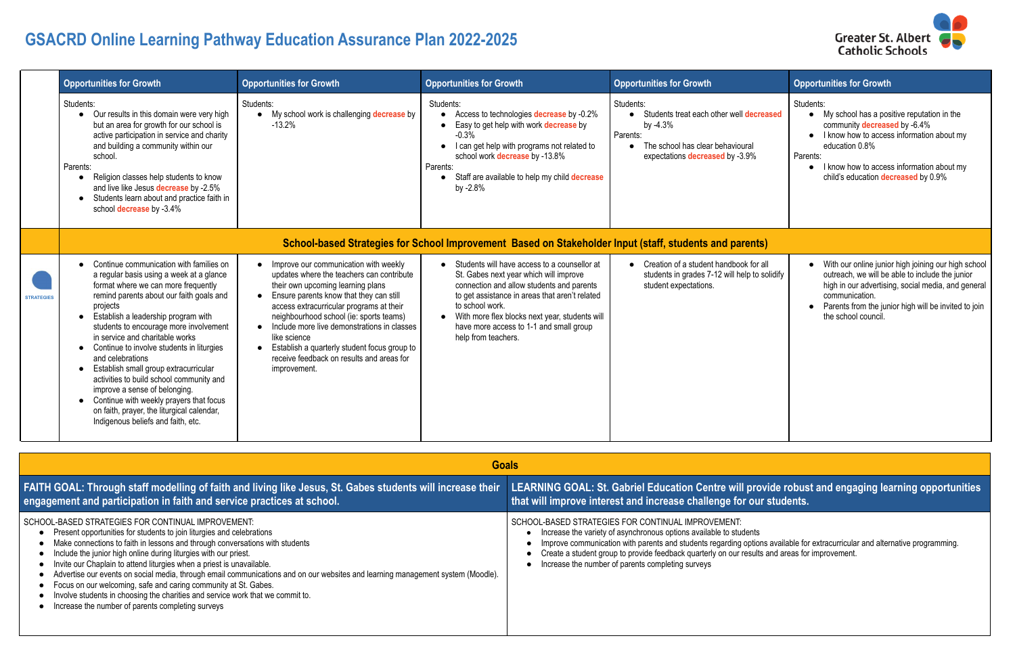## **GSACRD Online Learning Pathway Education Assurance Plan 2022-2025**

|                   | <b>Opportunities for Growth</b>                                                                                                                                                                                                                                                                                                                                                                                                                                                                                                                                                                                                      | <b>Opportunities for Growth</b>                                                                                                                                                                                                                                                                                                                                                                                                       | <b>Opportunities for Growth</b>                                                                                                                                                                                                                                                                                                  | <b>Opportunities for Growth</b>                                                                                                                          | <b>Opportunities for Growth</b>                                                                                                                                                                                                                                |  |
|-------------------|--------------------------------------------------------------------------------------------------------------------------------------------------------------------------------------------------------------------------------------------------------------------------------------------------------------------------------------------------------------------------------------------------------------------------------------------------------------------------------------------------------------------------------------------------------------------------------------------------------------------------------------|---------------------------------------------------------------------------------------------------------------------------------------------------------------------------------------------------------------------------------------------------------------------------------------------------------------------------------------------------------------------------------------------------------------------------------------|----------------------------------------------------------------------------------------------------------------------------------------------------------------------------------------------------------------------------------------------------------------------------------------------------------------------------------|----------------------------------------------------------------------------------------------------------------------------------------------------------|----------------------------------------------------------------------------------------------------------------------------------------------------------------------------------------------------------------------------------------------------------------|--|
|                   | Students:<br>Our results in this domain were very high<br>$\bullet$<br>but an area for growth for our school is<br>active participation in service and charity<br>and building a community within our<br>school.<br>Parents:<br>Religion classes help students to know<br>and live like Jesus decrease by -2.5%<br>Students learn about and practice faith in<br>school <b>decrease</b> by -3.4%                                                                                                                                                                                                                                     | Students:<br>My school work is challenging decrease by<br>$-13.2%$                                                                                                                                                                                                                                                                                                                                                                    | Students:<br>Access to technologies decrease by -0.2%<br>Easy to get help with work decrease by<br>$-0.3%$<br>I can get help with programs not related to<br>school work decrease by -13.8%<br>Parents:<br>Staff are available to help my child decrease<br>by -2.8%                                                             | Students:<br>• Students treat each other well decreased<br>by $-4.3%$<br>Parents:<br>The school has clear behavioural<br>expectations decreased by -3.9% | Students:<br>My school has a positive reputation in the<br>community decreased by -6.4%<br>I know how to access information about my<br>education 0.8%<br>Parents:<br>I know how to access information about my<br>child's education decreased by 0.9%         |  |
|                   | School-based Strategies for School Improvement Based on Stakeholder Input (staff, students and parents)                                                                                                                                                                                                                                                                                                                                                                                                                                                                                                                              |                                                                                                                                                                                                                                                                                                                                                                                                                                       |                                                                                                                                                                                                                                                                                                                                  |                                                                                                                                                          |                                                                                                                                                                                                                                                                |  |
| <b>STRATEGIES</b> | Continue communication with families on<br>a regular basis using a week at a glance<br>format where we can more frequently<br>remind parents about our faith goals and<br>projects<br>• Establish a leadership program with<br>students to encourage more involvement<br>in service and charitable works<br>• Continue to involve students in liturgies<br>and celebrations<br>• Establish small group extracurricular<br>activities to build school community and<br>improve a sense of belonging.<br>• Continue with weekly prayers that focus<br>on faith, prayer, the liturgical calendar,<br>Indigenous beliefs and faith, etc. | Improve our communication with weekly<br>updates where the teachers can contribute<br>their own upcoming learning plans<br>Ensure parents know that they can still<br>access extracurricular programs at their<br>neighbourhood school (ie: sports teams)<br>Include more live demonstrations in classes<br>like science<br>Establish a quarterly student focus group to<br>receive feedback on results and areas for<br>improvement. | • Students will have access to a counsellor at<br>St. Gabes next year which will improve<br>connection and allow students and parents<br>to get assistance in areas that aren't related<br>to school work.<br>• With more flex blocks next year, students will<br>have more access to 1-1 and small group<br>help from teachers. | • Creation of a student handbook for all<br>students in grades 7-12 will help to solidify<br>student expectations.                                       | • With our online junior high joining our high school<br>outreach, we will be able to include the junior<br>high in our advertising, social media, and general<br>communication.<br>Parents from the junior high will be invited to join<br>the school council |  |

## **LEARNING GOAL: St. Gabriel Education Centre will provide robust and engaging learning opportunities**  $\epsilon$  **bur students.**

options available for extracurricular and alternative programming. sults and areas for improvement.

|                                                                                                                                                                                                                                                                                                                                                                                                                                                                                                                                                                                                                                                                                                       | <b>Goals</b>                                                                                                                                                                                                                                                                                                             |  |
|-------------------------------------------------------------------------------------------------------------------------------------------------------------------------------------------------------------------------------------------------------------------------------------------------------------------------------------------------------------------------------------------------------------------------------------------------------------------------------------------------------------------------------------------------------------------------------------------------------------------------------------------------------------------------------------------------------|--------------------------------------------------------------------------------------------------------------------------------------------------------------------------------------------------------------------------------------------------------------------------------------------------------------------------|--|
| <b>FAITH GOAL: Through staff modelling of faith and living like Jesus, St. Gabes students will increase their</b><br>engagement and participation in faith and service practices at school.                                                                                                                                                                                                                                                                                                                                                                                                                                                                                                           | LEARNING GOAL: St. Gabriel Education Centre will pro<br>that will improve interest and increase challenge for ou                                                                                                                                                                                                         |  |
| SCHOOL-BASED STRATEGIES FOR CONTINUAL IMPROVEMENT:<br>Present opportunities for students to join liturgies and celebrations<br>Make connections to faith in lessons and through conversations with students<br>Include the junior high online during liturgies with our priest.<br>Invite our Chaplain to attend liturgies when a priest is unavailable.<br>Advertise our events on social media, through email communications and on our websites and learning management system (Moodle).<br>Focus on our welcoming, safe and caring community at St. Gabes.<br>Involve students in choosing the charities and service work that we commit to.<br>Increase the number of parents completing surveys | SCHOOL-BASED STRATEGIES FOR CONTINUAL IMPROVEMENT:<br>Increase the variety of asynchronous options available to students<br>Improve communication with parents and students regarding option<br>Create a student group to provide feedback quarterly on our result:<br>Increase the number of parents completing surveys |  |

Greater St. Albert